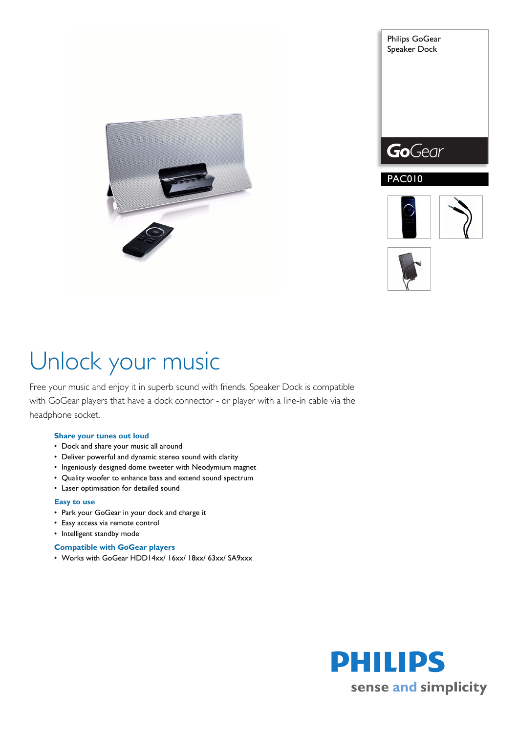



Philips GoGear





# Unlock your music

Free your music and enjoy it in superb sound with friends. Speaker Dock is compatible with GoGear players that have a dock connector - or player with a line-in cable via the headphone socket.

# **Share your tunes out loud**

- Dock and share your music all around
- Deliver powerful and dynamic stereo sound with clarity
- Ingeniously designed dome tweeter with Neodymium magnet
- Quality woofer to enhance bass and extend sound spectrum
- Laser optimisation for detailed sound

### **Easy to use**

- Park your GoGear in your dock and charge it
- Easy access via remote control
- Intelligent standby mode

## **Compatible with GoGear players**

• Works with GoGear HDD14xx/ 16xx/ 18xx/ 63xx/ SA9xxx